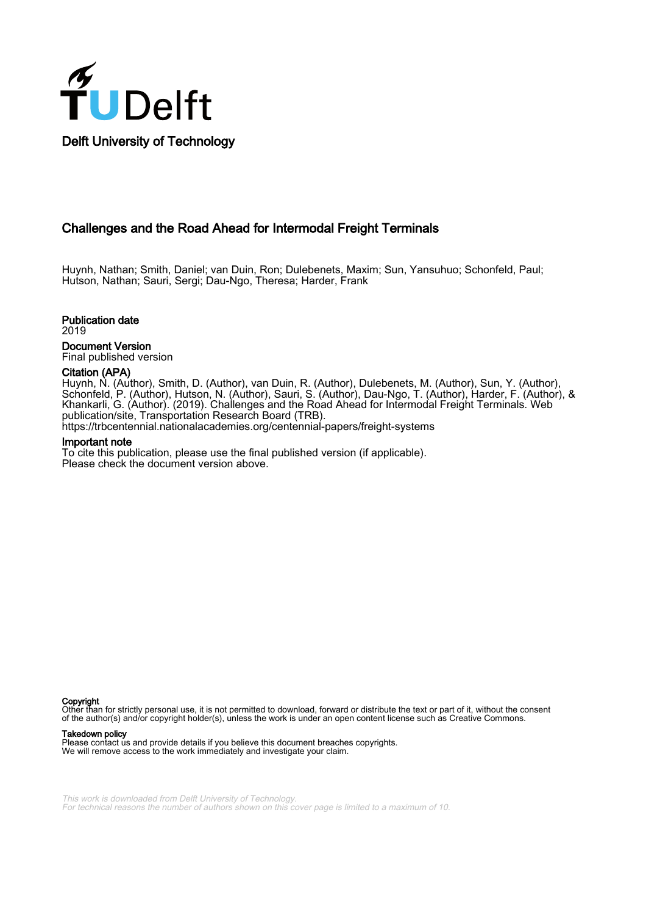

Challenges and the Road Ahead for Intermodal Freight Terminals

Huynh, Nathan; Smith, Daniel; van Duin, Ron; Dulebenets, Maxim; Sun, Yansuhuo; Schonfeld, Paul; Hutson, Nathan; Sauri, Sergi; Dau-Ngo, Theresa; Harder, Frank

Publication date

2019

Document Version Final published version

#### Citation (APA)

Huynh, N. (Author), Smith, D. (Author), van Duin, R. (Author), Dulebenets, M. (Author), Sun, Y. (Author), Schonfeld, P. (Author), Hutson, N. (Author), Sauri, S. (Author), Dau-Ngo, T. (Author), Harder, F. (Author), & Khankarli, G. (Author). (2019). Challenges and the Road Ahead for Intermodal Freight Terminals. Web publication/site, Transportation Research Board (TRB).

<https://trbcentennial.nationalacademies.org/centennial-papers/freight-systems>

#### Important note

To cite this publication, please use the final published version (if applicable). Please check the document version above.

Copyright

Other than for strictly personal use, it is not permitted to download, forward or distribute the text or part of it, without the consent of the author(s) and/or copyright holder(s), unless the work is under an open content license such as Creative Commons.

#### Takedown policy

Please contact us and provide details if you believe this document breaches copyrights. We will remove access to the work immediately and investigate your claim.

This work is downloaded from Delft University of Technology. For technical reasons the number of authors shown on this cover page is limited to a maximum of 10.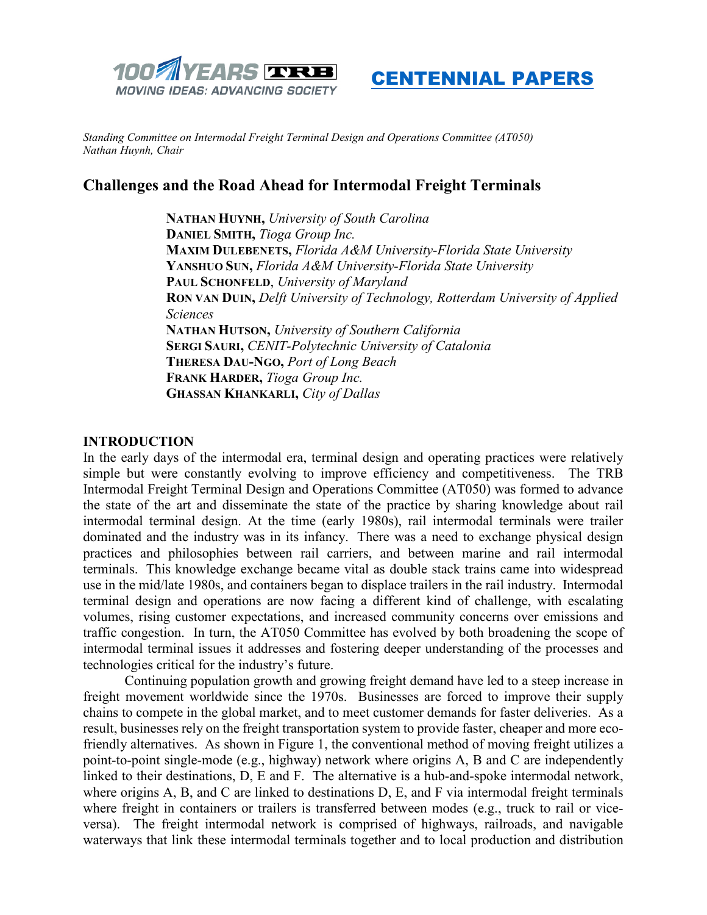



*Standing Committee on Intermodal Freight Terminal Design and Operations Committee (AT050) Nathan Huynh, Chair*

# **Challenges and the Road Ahead for Intermodal Freight Terminals**

**NATHAN HUYNH,** *University of South Carolina* **DANIEL SMITH,** *Tioga Group Inc.* **MAXIM DULEBENETS,** *Florida A&M University-Florida State University* **YANSHUO SUN,** *Florida A&M University-Florida State University* **PAUL SCHONFELD**, *University of Maryland* **RON VAN DUIN,** *Delft University of Technology, Rotterdam University of Applied Sciences* **NATHAN HUTSON,** *University of Southern California* **SERGI SAURI,** *CENIT-Polytechnic University of Catalonia* **THERESA DAU-NGO,** *Port of Long Beach* **FRANK HARDER,** *Tioga Group Inc.* **GHASSAN KHANKARLI,** *City of Dallas*

## **INTRODUCTION**

In the early days of the intermodal era, terminal design and operating practices were relatively simple but were constantly evolving to improve efficiency and competitiveness. The TRB Intermodal Freight Terminal Design and Operations Committee (AT050) was formed to advance the state of the art and disseminate the state of the practice by sharing knowledge about rail intermodal terminal design. At the time (early 1980s), rail intermodal terminals were trailer dominated and the industry was in its infancy. There was a need to exchange physical design practices and philosophies between rail carriers, and between marine and rail intermodal terminals. This knowledge exchange became vital as double stack trains came into widespread use in the mid/late 1980s, and containers began to displace trailers in the rail industry. Intermodal terminal design and operations are now facing a different kind of challenge, with escalating volumes, rising customer expectations, and increased community concerns over emissions and traffic congestion. In turn, the AT050 Committee has evolved by both broadening the scope of intermodal terminal issues it addresses and fostering deeper understanding of the processes and technologies critical for the industry's future.

Continuing population growth and growing freight demand have led to a steep increase in freight movement worldwide since the 1970s. Businesses are forced to improve their supply chains to compete in the global market, and to meet customer demands for faster deliveries. As a result, businesses rely on the freight transportation system to provide faster, cheaper and more ecofriendly alternatives. As shown in Figure 1, the conventional method of moving freight utilizes a point-to-point single-mode (e.g., highway) network where origins A, B and C are independently linked to their destinations, D, E and F. The alternative is a hub-and-spoke intermodal network, where origins A, B, and C are linked to destinations D, E, and F via intermodal freight terminals where freight in containers or trailers is transferred between modes (e.g., truck to rail or viceversa). The freight intermodal network is comprised of highways, railroads, and navigable waterways that link these intermodal terminals together and to local production and distribution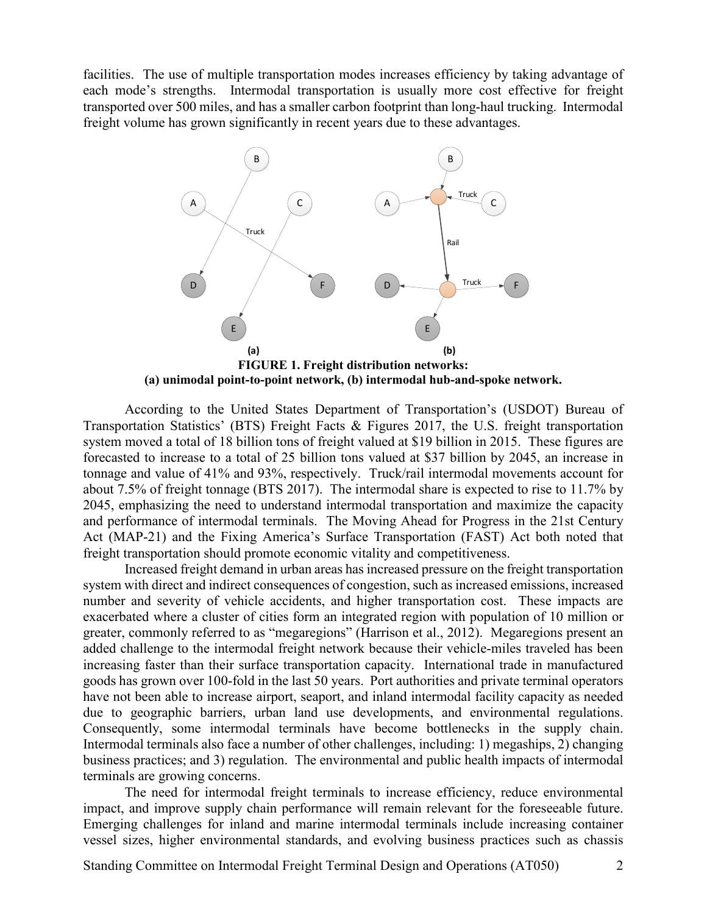facilities. The use of multiple transportation modes increases efficiency by taking advantage of each mode's strengths. Intermodal transportation is usually more cost effective for freight transported over 500 miles, and has a smaller carbon footprint than long-haul trucking. Intermodal freight volume has grown significantly in recent years due to these advantages.



**(a) unimodal point-to-point network, (b) intermodal hub-and-spoke network.**

According to the United States Department of Transportation's (USDOT) Bureau of Transportation Statistics' (BTS) Freight Facts & Figures 2017, the U.S. freight transportation system moved a total of 18 billion tons of freight valued at \$19 billion in 2015. These figures are forecasted to increase to a total of 25 billion tons valued at \$37 billion by 2045, an increase in tonnage and value of 41% and 93%, respectively. Truck/rail intermodal movements account for about 7.5% of freight tonnage (BTS 2017). The intermodal share is expected to rise to 11.7% by 2045, emphasizing the need to understand intermodal transportation and maximize the capacity and performance of intermodal terminals. The Moving Ahead for Progress in the 21st Century Act (MAP-21) and the Fixing America's Surface Transportation (FAST) Act both noted that freight transportation should promote economic vitality and competitiveness.

Increased freight demand in urban areas has increased pressure on the freight transportation system with direct and indirect consequences of congestion, such as increased emissions, increased number and severity of vehicle accidents, and higher transportation cost. These impacts are exacerbated where a cluster of cities form an integrated region with population of 10 million or greater, commonly referred to as "megaregions" (Harrison et al., 2012). Megaregions present an added challenge to the intermodal freight network because their vehicle-miles traveled has been increasing faster than their surface transportation capacity. International trade in manufactured goods has grown over 100-fold in the last 50 years. Port authorities and private terminal operators have not been able to increase airport, seaport, and inland intermodal facility capacity as needed due to geographic barriers, urban land use developments, and environmental regulations. Consequently, some intermodal terminals have become bottlenecks in the supply chain. Intermodal terminals also face a number of other challenges, including: 1) megaships, 2) changing business practices; and 3) regulation. The environmental and public health impacts of intermodal terminals are growing concerns.

The need for intermodal freight terminals to increase efficiency, reduce environmental impact, and improve supply chain performance will remain relevant for the foreseeable future. Emerging challenges for inland and marine intermodal terminals include increasing container vessel sizes, higher environmental standards, and evolving business practices such as chassis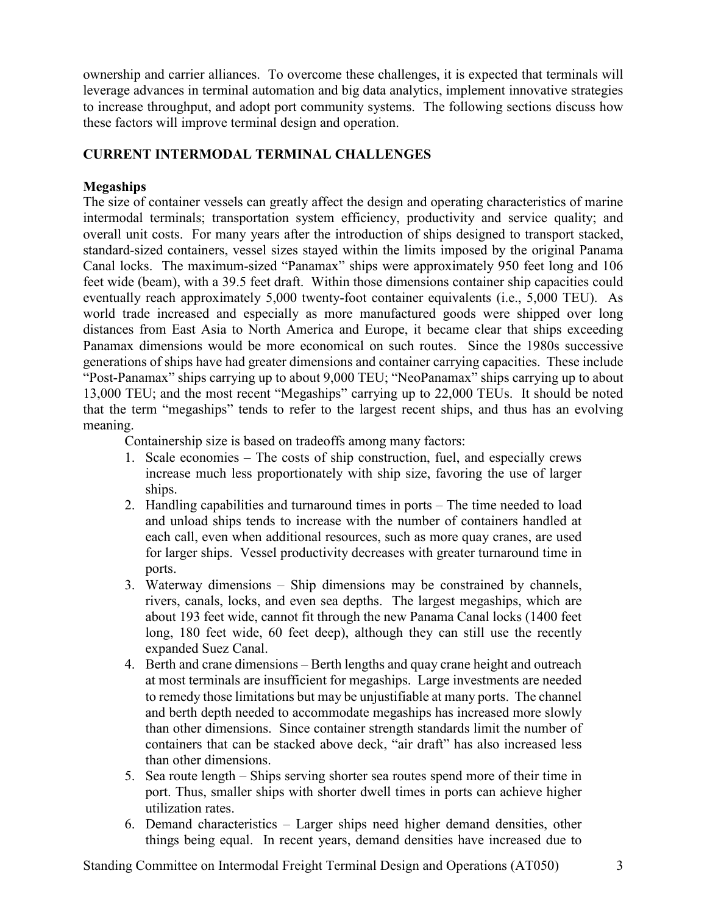ownership and carrier alliances. To overcome these challenges, it is expected that terminals will leverage advances in terminal automation and big data analytics, implement innovative strategies to increase throughput, and adopt port community systems. The following sections discuss how these factors will improve terminal design and operation.

# **CURRENT INTERMODAL TERMINAL CHALLENGES**

# **Megaships**

The size of container vessels can greatly affect the design and operating characteristics of marine intermodal terminals; transportation system efficiency, productivity and service quality; and overall unit costs. For many years after the introduction of ships designed to transport stacked, standard-sized containers, vessel sizes stayed within the limits imposed by the original Panama Canal locks. The maximum-sized "Panamax" ships were approximately 950 feet long and 106 feet wide (beam), with a 39.5 feet draft. Within those dimensions container ship capacities could eventually reach approximately 5,000 twenty-foot container equivalents (i.e., 5,000 TEU). As world trade increased and especially as more manufactured goods were shipped over long distances from East Asia to North America and Europe, it became clear that ships exceeding Panamax dimensions would be more economical on such routes. Since the 1980s successive generations of ships have had greater dimensions and container carrying capacities. These include "Post-Panamax" ships carrying up to about 9,000 TEU; "NeoPanamax" ships carrying up to about 13,000 TEU; and the most recent "Megaships" carrying up to 22,000 TEUs. It should be noted that the term "megaships" tends to refer to the largest recent ships, and thus has an evolving meaning.

Containership size is based on tradeoffs among many factors:

- 1. Scale economies The costs of ship construction, fuel, and especially crews increase much less proportionately with ship size, favoring the use of larger ships.
- 2. Handling capabilities and turnaround times in ports The time needed to load and unload ships tends to increase with the number of containers handled at each call, even when additional resources, such as more quay cranes, are used for larger ships. Vessel productivity decreases with greater turnaround time in ports.
- 3. Waterway dimensions Ship dimensions may be constrained by channels, rivers, canals, locks, and even sea depths. The largest megaships, which are about 193 feet wide, cannot fit through the new Panama Canal locks (1400 feet long, 180 feet wide, 60 feet deep), although they can still use the recently expanded Suez Canal.
- 4. Berth and crane dimensions Berth lengths and quay crane height and outreach at most terminals are insufficient for megaships. Large investments are needed to remedy those limitations but may be unjustifiable at many ports. The channel and berth depth needed to accommodate megaships has increased more slowly than other dimensions. Since container strength standards limit the number of containers that can be stacked above deck, "air draft" has also increased less than other dimensions.
- 5. Sea route length Ships serving shorter sea routes spend more of their time in port. Thus, smaller ships with shorter dwell times in ports can achieve higher utilization rates.
- 6. Demand characteristics Larger ships need higher demand densities, other things being equal. In recent years, demand densities have increased due to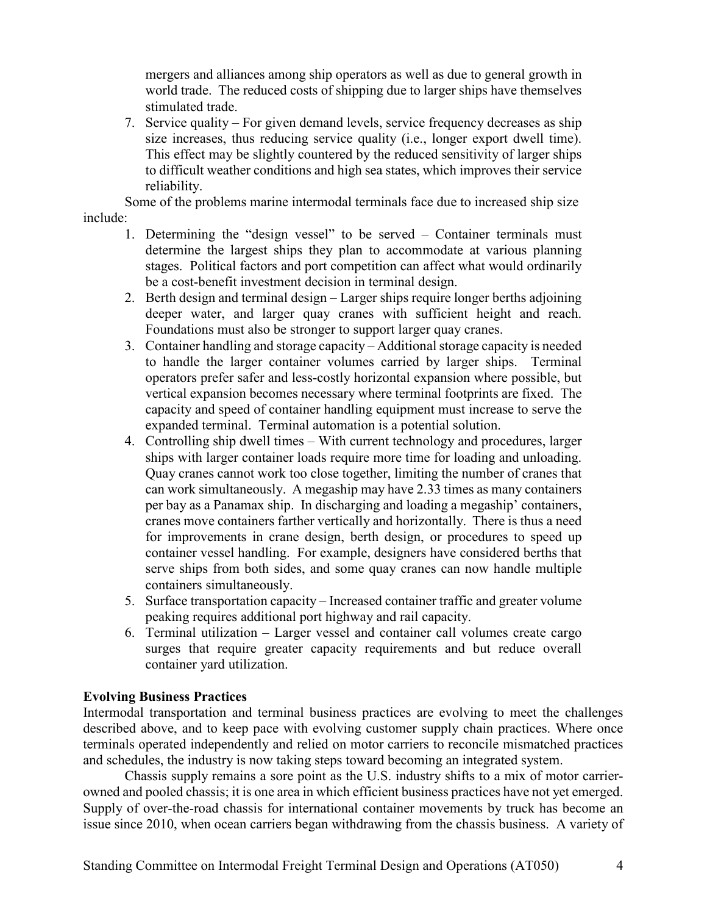mergers and alliances among ship operators as well as due to general growth in world trade. The reduced costs of shipping due to larger ships have themselves stimulated trade.

7. Service quality – For given demand levels, service frequency decreases as ship size increases, thus reducing service quality (i.e., longer export dwell time). This effect may be slightly countered by the reduced sensitivity of larger ships to difficult weather conditions and high sea states, which improves their service reliability.

Some of the problems marine intermodal terminals face due to increased ship size include:

- 1. Determining the "design vessel" to be served Container terminals must determine the largest ships they plan to accommodate at various planning stages. Political factors and port competition can affect what would ordinarily be a cost-benefit investment decision in terminal design.
- 2. Berth design and terminal design Larger ships require longer berths adjoining deeper water, and larger quay cranes with sufficient height and reach. Foundations must also be stronger to support larger quay cranes.
- 3. Container handling and storage capacity Additional storage capacity is needed to handle the larger container volumes carried by larger ships. Terminal operators prefer safer and less-costly horizontal expansion where possible, but vertical expansion becomes necessary where terminal footprints are fixed. The capacity and speed of container handling equipment must increase to serve the expanded terminal. Terminal automation is a potential solution.
- 4. Controlling ship dwell times With current technology and procedures, larger ships with larger container loads require more time for loading and unloading. Quay cranes cannot work too close together, limiting the number of cranes that can work simultaneously. A megaship may have 2.33 times as many containers per bay as a Panamax ship. In discharging and loading a megaship' containers, cranes move containers farther vertically and horizontally. There is thus a need for improvements in crane design, berth design, or procedures to speed up container vessel handling. For example, designers have considered berths that serve ships from both sides, and some quay cranes can now handle multiple containers simultaneously.
- 5. Surface transportation capacity Increased container traffic and greater volume peaking requires additional port highway and rail capacity.
- 6. Terminal utilization Larger vessel and container call volumes create cargo surges that require greater capacity requirements and but reduce overall container yard utilization.

# **Evolving Business Practices**

Intermodal transportation and terminal business practices are evolving to meet the challenges described above, and to keep pace with evolving customer supply chain practices. Where once terminals operated independently and relied on motor carriers to reconcile mismatched practices and schedules, the industry is now taking steps toward becoming an integrated system.

Chassis supply remains a sore point as the U.S. industry shifts to a mix of motor carrierowned and pooled chassis; it is one area in which efficient business practices have not yet emerged. Supply of over-the-road chassis for international container movements by truck has become an issue since 2010, when ocean carriers began withdrawing from the chassis business. A variety of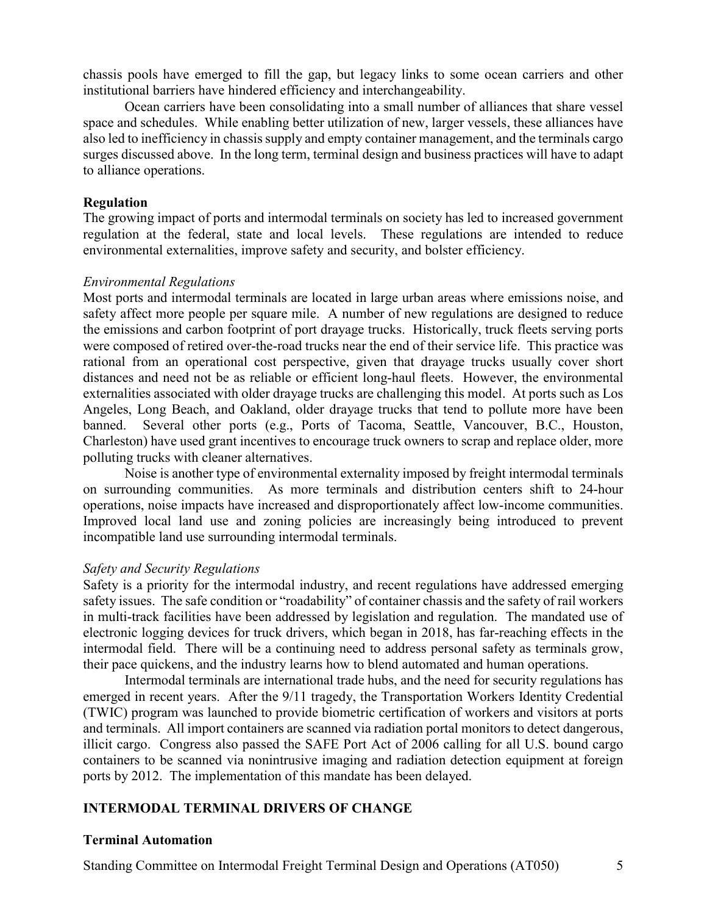chassis pools have emerged to fill the gap, but legacy links to some ocean carriers and other institutional barriers have hindered efficiency and interchangeability.

Ocean carriers have been consolidating into a small number of alliances that share vessel space and schedules. While enabling better utilization of new, larger vessels, these alliances have also led to inefficiency in chassis supply and empty container management, and the terminals cargo surges discussed above. In the long term, terminal design and business practices will have to adapt to alliance operations.

## **Regulation**

The growing impact of ports and intermodal terminals on society has led to increased government regulation at the federal, state and local levels. These regulations are intended to reduce environmental externalities, improve safety and security, and bolster efficiency.

#### *Environmental Regulations*

Most ports and intermodal terminals are located in large urban areas where emissions noise, and safety affect more people per square mile. A number of new regulations are designed to reduce the emissions and carbon footprint of port drayage trucks. Historically, truck fleets serving ports were composed of retired over-the-road trucks near the end of their service life. This practice was rational from an operational cost perspective, given that drayage trucks usually cover short distances and need not be as reliable or efficient long-haul fleets. However, the environmental externalities associated with older drayage trucks are challenging this model. At ports such as Los Angeles, Long Beach, and Oakland, older drayage trucks that tend to pollute more have been banned. Several other ports (e.g., Ports of Tacoma, Seattle, Vancouver, B.C., Houston, Charleston) have used grant incentives to encourage truck owners to scrap and replace older, more polluting trucks with cleaner alternatives.

Noise is another type of environmental externality imposed by freight intermodal terminals on surrounding communities. As more terminals and distribution centers shift to 24-hour operations, noise impacts have increased and disproportionately affect low-income communities. Improved local land use and zoning policies are increasingly being introduced to prevent incompatible land use surrounding intermodal terminals.

## *Safety and Security Regulations*

Safety is a priority for the intermodal industry, and recent regulations have addressed emerging safety issues. The safe condition or "roadability" of container chassis and the safety of rail workers in multi-track facilities have been addressed by legislation and regulation. The mandated use of electronic logging devices for truck drivers, which began in 2018, has far-reaching effects in the intermodal field. There will be a continuing need to address personal safety as terminals grow, their pace quickens, and the industry learns how to blend automated and human operations.

Intermodal terminals are international trade hubs, and the need for security regulations has emerged in recent years. After the 9/11 tragedy, the Transportation Workers Identity Credential (TWIC) program was launched to provide biometric certification of workers and visitors at ports and terminals. All import containers are scanned via radiation portal monitors to detect dangerous, illicit cargo. Congress also passed the SAFE Port Act of 2006 calling for all U.S. bound cargo containers to be scanned via nonintrusive imaging and radiation detection equipment at foreign ports by 2012. The implementation of this mandate has been delayed.

# **INTERMODAL TERMINAL DRIVERS OF CHANGE**

## **Terminal Automation**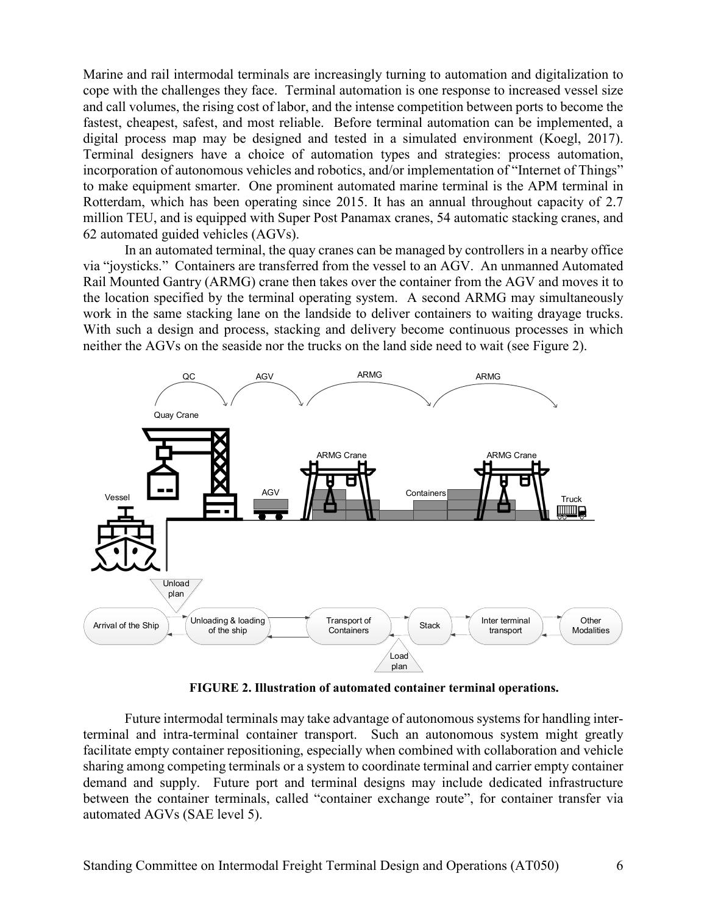Marine and rail intermodal terminals are increasingly turning to automation and digitalization to cope with the challenges they face. Terminal automation is one response to increased vessel size and call volumes, the rising cost of labor, and the intense competition between ports to become the fastest, cheapest, safest, and most reliable. Before terminal automation can be implemented, a digital process map may be designed and tested in a simulated environment (Koegl, 2017). Terminal designers have a choice of automation types and strategies: process automation, incorporation of autonomous vehicles and robotics, and/or implementation of "Internet of Things" to make equipment smarter. One prominent automated marine terminal is the APM terminal in Rotterdam, which has been operating since 2015. It has an annual throughout capacity of 2.7 million TEU, and is equipped with Super Post Panamax cranes, 54 automatic stacking cranes, and 62 automated guided vehicles (AGVs).

In an automated terminal, the quay cranes can be managed by controllers in a nearby office via "joysticks." Containers are transferred from the vessel to an AGV. An unmanned Automated Rail Mounted Gantry (ARMG) crane then takes over the container from the AGV and moves it to the location specified by the terminal operating system. A second ARMG may simultaneously work in the same stacking lane on the landside to deliver containers to waiting drayage trucks. With such a design and process, stacking and delivery become continuous processes in which neither the AGVs on the seaside nor the trucks on the land side need to wait (see Figure 2).



**FIGURE 2. Illustration of automated container terminal operations.**

Future intermodal terminals may take advantage of autonomous systems for handling interterminal and intra-terminal container transport. Such an autonomous system might greatly facilitate empty container repositioning, especially when combined with collaboration and vehicle sharing among competing terminals or a system to coordinate terminal and carrier empty container demand and supply. Future port and terminal designs may include dedicated infrastructure between the container terminals, called "container exchange route", for container transfer via automated AGVs (SAE level 5).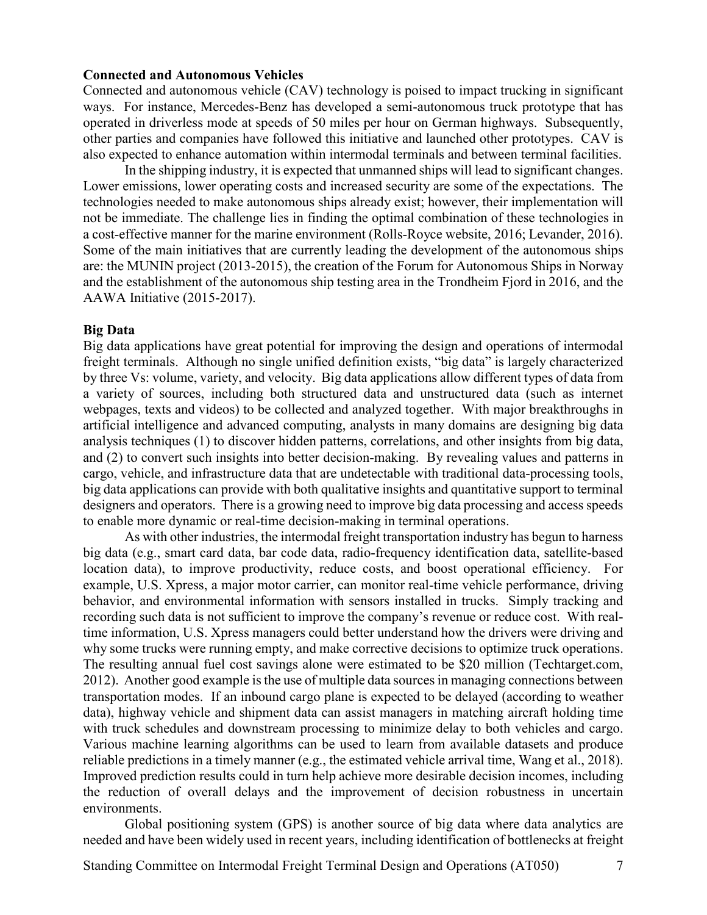#### **Connected and Autonomous Vehicles**

Connected and autonomous vehicle (CAV) technology is poised to impact trucking in significant ways. For instance, Mercedes-Benz has developed a semi-autonomous truck prototype that has operated in driverless mode at speeds of 50 miles per hour on German highways. Subsequently, other parties and companies have followed this initiative and launched other prototypes. CAV is also expected to enhance automation within intermodal terminals and between terminal facilities.

In the shipping industry, it is expected that unmanned ships will lead to significant changes. Lower emissions, lower operating costs and increased security are some of the expectations. The technologies needed to make autonomous ships already exist; however, their implementation will not be immediate. The challenge lies in finding the optimal combination of these technologies in a cost-effective manner for the marine environment (Rolls-Royce website, 2016; Levander, 2016). Some of the main initiatives that are currently leading the development of the autonomous ships are: the MUNIN project (2013-2015), the creation of the Forum for Autonomous Ships in Norway and the establishment of the autonomous ship testing area in the Trondheim Fjord in 2016, and the AAWA Initiative (2015-2017).

#### **Big Data**

Big data applications have great potential for improving the design and operations of intermodal freight terminals. Although no single unified definition exists, "big data" is largely characterized by three Vs: volume, variety, and velocity. Big data applications allow different types of data from a variety of sources, including both structured data and unstructured data (such as internet webpages, texts and videos) to be collected and analyzed together. With major breakthroughs in artificial intelligence and advanced computing, analysts in many domains are designing big data analysis techniques (1) to discover hidden patterns, correlations, and other insights from big data, and (2) to convert such insights into better decision-making. By revealing values and patterns in cargo, vehicle, and infrastructure data that are undetectable with traditional data-processing tools, big data applications can provide with both qualitative insights and quantitative support to terminal designers and operators. There is a growing need to improve big data processing and access speeds to enable more dynamic or real-time decision-making in terminal operations.

As with other industries, the intermodal freight transportation industry has begun to harness big data (e.g., smart card data, bar code data, radio-frequency identification data, satellite-based location data), to improve productivity, reduce costs, and boost operational efficiency. For example, U.S. Xpress, a major motor carrier, can monitor real-time vehicle performance, driving behavior, and environmental information with sensors installed in trucks. Simply tracking and recording such data is not sufficient to improve the company's revenue or reduce cost. With realtime information, U.S. Xpress managers could better understand how the drivers were driving and why some trucks were running empty, and make corrective decisions to optimize truck operations. The resulting annual fuel cost savings alone were estimated to be \$20 million (Techtarget.com, 2012). Another good example is the use of multiple data sources in managing connections between transportation modes. If an inbound cargo plane is expected to be delayed (according to weather data), highway vehicle and shipment data can assist managers in matching aircraft holding time with truck schedules and downstream processing to minimize delay to both vehicles and cargo. Various machine learning algorithms can be used to learn from available datasets and produce reliable predictions in a timely manner (e.g., the estimated vehicle arrival time, Wang et al., 2018). Improved prediction results could in turn help achieve more desirable decision incomes, including the reduction of overall delays and the improvement of decision robustness in uncertain environments.

Global positioning system (GPS) is another source of big data where data analytics are needed and have been widely used in recent years, including identification of bottlenecks at freight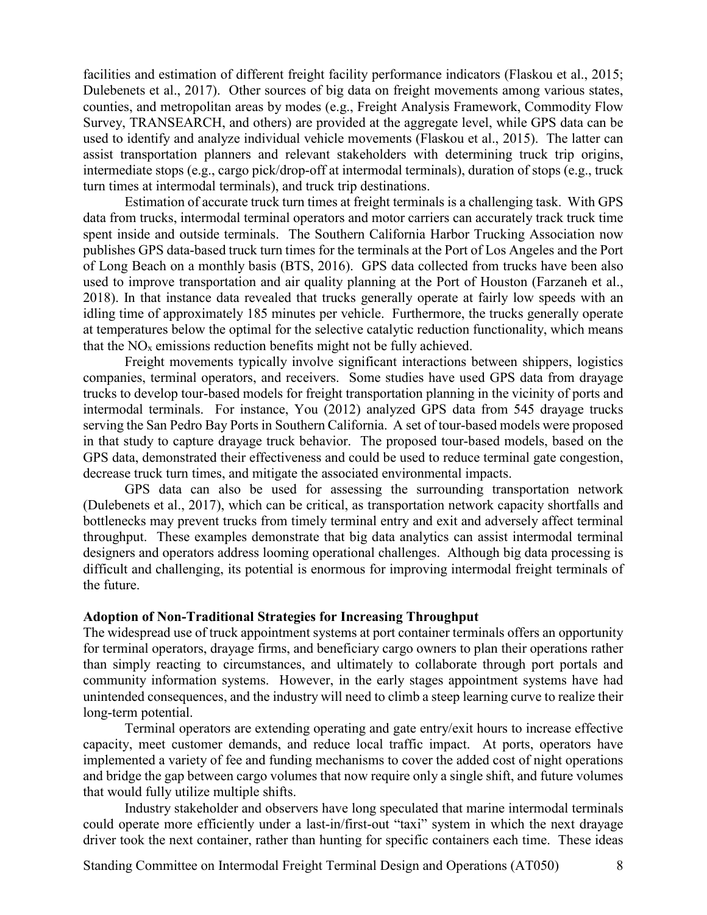facilities and estimation of different freight facility performance indicators (Flaskou et al., 2015; Dulebenets et al., 2017). Other sources of big data on freight movements among various states, counties, and metropolitan areas by modes (e.g., Freight Analysis Framework, Commodity Flow Survey, TRANSEARCH, and others) are provided at the aggregate level, while GPS data can be used to identify and analyze individual vehicle movements (Flaskou et al., 2015). The latter can assist transportation planners and relevant stakeholders with determining truck trip origins, intermediate stops (e.g., cargo pick/drop-off at intermodal terminals), duration of stops (e.g., truck turn times at intermodal terminals), and truck trip destinations.

Estimation of accurate truck turn times at freight terminals is a challenging task. With GPS data from trucks, intermodal terminal operators and motor carriers can accurately track truck time spent inside and outside terminals. The Southern California Harbor Trucking Association now publishes GPS data-based truck turn times for the terminals at the Port of Los Angeles and the Port of Long Beach on a monthly basis (BTS, 2016). GPS data collected from trucks have been also used to improve transportation and air quality planning at the Port of Houston (Farzaneh et al., 2018). In that instance data revealed that trucks generally operate at fairly low speeds with an idling time of approximately 185 minutes per vehicle. Furthermore, the trucks generally operate at temperatures below the optimal for the selective catalytic reduction functionality, which means that the  $NO<sub>x</sub>$  emissions reduction benefits might not be fully achieved.

Freight movements typically involve significant interactions between shippers, logistics companies, terminal operators, and receivers. Some studies have used GPS data from drayage trucks to develop tour-based models for freight transportation planning in the vicinity of ports and intermodal terminals. For instance, You (2012) analyzed GPS data from 545 drayage trucks serving the San Pedro Bay Ports in Southern California. A set of tour-based models were proposed in that study to capture drayage truck behavior. The proposed tour-based models, based on the GPS data, demonstrated their effectiveness and could be used to reduce terminal gate congestion, decrease truck turn times, and mitigate the associated environmental impacts.

GPS data can also be used for assessing the surrounding transportation network (Dulebenets et al., 2017), which can be critical, as transportation network capacity shortfalls and bottlenecks may prevent trucks from timely terminal entry and exit and adversely affect terminal throughput. These examples demonstrate that big data analytics can assist intermodal terminal designers and operators address looming operational challenges. Although big data processing is difficult and challenging, its potential is enormous for improving intermodal freight terminals of the future.

#### **Adoption of Non-Traditional Strategies for Increasing Throughput**

The widespread use of truck appointment systems at port container terminals offers an opportunity for terminal operators, drayage firms, and beneficiary cargo owners to plan their operations rather than simply reacting to circumstances, and ultimately to collaborate through port portals and community information systems. However, in the early stages appointment systems have had unintended consequences, and the industry will need to climb a steep learning curve to realize their long-term potential.

Terminal operators are extending operating and gate entry/exit hours to increase effective capacity, meet customer demands, and reduce local traffic impact. At ports, operators have implemented a variety of fee and funding mechanisms to cover the added cost of night operations and bridge the gap between cargo volumes that now require only a single shift, and future volumes that would fully utilize multiple shifts.

Industry stakeholder and observers have long speculated that marine intermodal terminals could operate more efficiently under a last-in/first-out "taxi" system in which the next drayage driver took the next container, rather than hunting for specific containers each time. These ideas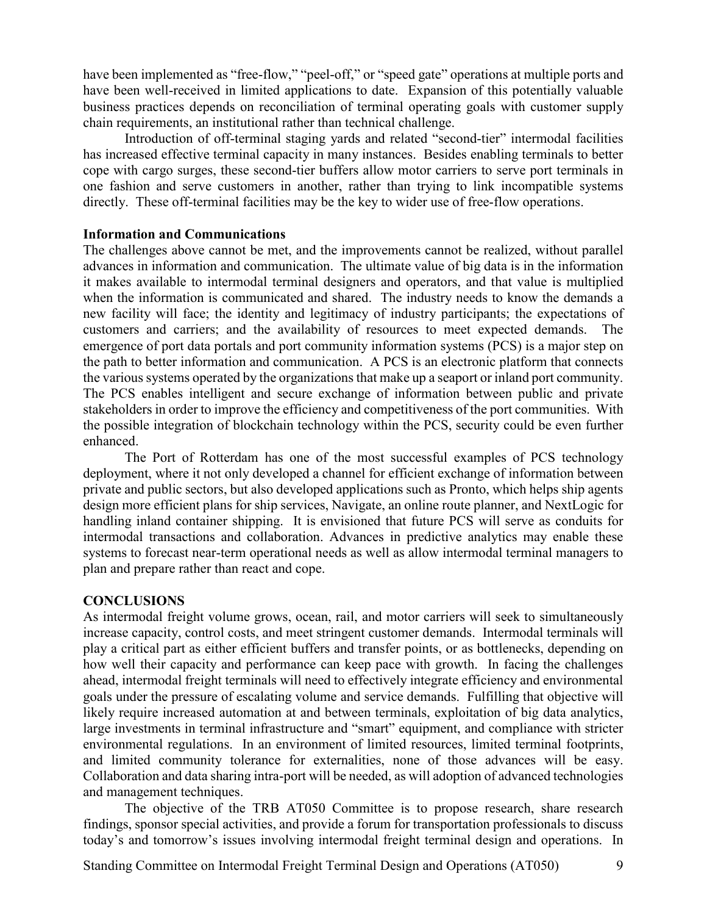have been implemented as "free-flow," "peel-off," or "speed gate" operations at multiple ports and have been well-received in limited applications to date. Expansion of this potentially valuable business practices depends on reconciliation of terminal operating goals with customer supply chain requirements, an institutional rather than technical challenge.

Introduction of off-terminal staging yards and related "second-tier" intermodal facilities has increased effective terminal capacity in many instances. Besides enabling terminals to better cope with cargo surges, these second-tier buffers allow motor carriers to serve port terminals in one fashion and serve customers in another, rather than trying to link incompatible systems directly. These off-terminal facilities may be the key to wider use of free-flow operations.

#### **Information and Communications**

The challenges above cannot be met, and the improvements cannot be realized, without parallel advances in information and communication. The ultimate value of big data is in the information it makes available to intermodal terminal designers and operators, and that value is multiplied when the information is communicated and shared. The industry needs to know the demands a new facility will face; the identity and legitimacy of industry participants; the expectations of customers and carriers; and the availability of resources to meet expected demands. The emergence of port data portals and port community information systems (PCS) is a major step on the path to better information and communication. A PCS is an electronic platform that connects the various systems operated by the organizations that make up a seaport or inland port community. The PCS enables intelligent and secure exchange of information between public and private stakeholders in order to improve the efficiency and competitiveness of the port communities. With the possible integration of blockchain technology within the PCS, security could be even further enhanced.

The Port of Rotterdam has one of the most successful examples of PCS technology deployment, where it not only developed a channel for efficient exchange of information between private and public sectors, but also developed applications such as Pronto, which helps ship agents design more efficient plans for ship services, Navigate, an online route planner, and NextLogic for handling inland container shipping. It is envisioned that future PCS will serve as conduits for intermodal transactions and collaboration. Advances in predictive analytics may enable these systems to forecast near-term operational needs as well as allow intermodal terminal managers to plan and prepare rather than react and cope.

## **CONCLUSIONS**

As intermodal freight volume grows, ocean, rail, and motor carriers will seek to simultaneously increase capacity, control costs, and meet stringent customer demands. Intermodal terminals will play a critical part as either efficient buffers and transfer points, or as bottlenecks, depending on how well their capacity and performance can keep pace with growth. In facing the challenges ahead, intermodal freight terminals will need to effectively integrate efficiency and environmental goals under the pressure of escalating volume and service demands. Fulfilling that objective will likely require increased automation at and between terminals, exploitation of big data analytics, large investments in terminal infrastructure and "smart" equipment, and compliance with stricter environmental regulations. In an environment of limited resources, limited terminal footprints, and limited community tolerance for externalities, none of those advances will be easy. Collaboration and data sharing intra-port will be needed, as will adoption of advanced technologies and management techniques.

The objective of the TRB AT050 Committee is to propose research, share research findings, sponsor special activities, and provide a forum for transportation professionals to discuss today's and tomorrow's issues involving intermodal freight terminal design and operations. In